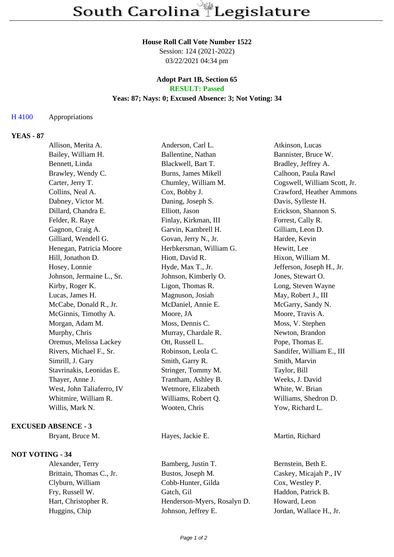#### **House Roll Call Vote Number 1522**

Session: 124 (2021-2022) 03/22/2021 04:34 pm

#### **Adopt Part 1B, Section 65 RESULT: Passed**

# **Yeas: 87; Nays: 0; Excused Absence: 3; Not Voting: 34**

# H 4100 Appropriations

# **YEAS - 87**

| Allison, Merita A.        | Anderson, Carl L.       | Atkinson, Lucas              |
|---------------------------|-------------------------|------------------------------|
| Bailey, William H.        | Ballentine, Nathan      | Bannister, Bruce W.          |
| Bennett, Linda            | Blackwell, Bart T.      | Bradley, Jeffrey A.          |
| Brawley, Wendy C.         | Burns, James Mikell     | Calhoon, Paula Rawl          |
| Carter, Jerry T.          | Chumley, William M.     | Cogswell, William Scott, Jr. |
| Collins, Neal A.          | Cox, Bobby J.           | Crawford, Heather Ammons     |
| Dabney, Victor M.         | Daning, Joseph S.       | Davis, Sylleste H.           |
| Dillard, Chandra E.       | Elliott, Jason          | Erickson, Shannon S.         |
| Felder, R. Raye           | Finlay, Kirkman, III    | Forrest, Cally R.            |
| Gagnon, Craig A.          | Garvin, Kambrell H.     | Gilliam, Leon D.             |
| Gilliard, Wendell G.      | Govan, Jerry N., Jr.    | Hardee, Kevin                |
| Henegan, Patricia Moore   | Herbkersman, William G. | Hewitt, Lee                  |
| Hill, Jonathon D.         | Hiott, David R.         | Hixon, William M.            |
| Hosey, Lonnie             | Hyde, Max T., Jr.       | Jefferson, Joseph H., Jr.    |
| Johnson, Jermaine L., Sr. | Johnson, Kimberly O.    | Jones, Stewart O.            |
| Kirby, Roger K.           | Ligon, Thomas R.        | Long, Steven Wayne           |
| Lucas, James H.           | Magnuson, Josiah        | May, Robert J., III          |
| McCabe, Donald R., Jr.    | McDaniel, Annie E.      | McGarry, Sandy N.            |
| McGinnis, Timothy A.      | Moore, JA               | Moore, Travis A.             |
| Morgan, Adam M.           | Moss, Dennis C.         | Moss, V. Stephen             |
| Murphy, Chris             | Murray, Chardale R.     | Newton, Brandon              |
| Oremus, Melissa Lackey    | Ott, Russell L.         | Pope, Thomas E.              |
| Rivers, Michael F., Sr.   | Robinson, Leola C.      | Sandifer, William E., III    |
| Simrill, J. Gary          | Smith, Garry R.         | Smith, Marvin                |
| Stavrinakis, Leonidas E.  | Stringer, Tommy M.      | Taylor, Bill                 |
| Thayer, Anne J.           | Trantham, Ashley B.     | Weeks, J. David              |
| West, John Taliaferro, IV | Wetmore, Elizabeth      | White, W. Brian              |
| Whitmire, William R.      | Williams, Robert Q.     | Williams, Shedron D.         |
| Willis, Mark N.           | Wooten, Chris           | Yow, Richard L.              |
|                           |                         |                              |

# **EXCUSED ABSENCE - 3**

#### **NOT VOTING - 34**

Bryant, Bruce M. **Hayes, Jackie E.** Martin, Richard

Alexander, Terry Bamberg, Justin T. Bernstein, Beth E. Brittain, Thomas C., Jr. Bustos, Joseph M. Caskey, Micajah P., IV Clyburn, William Cobb-Hunter, Gilda Cox, Westley P. Fry, Russell W. Gatch, Gil Haddon, Patrick B. Hart, Christopher R. Henderson-Myers, Rosalyn D. Howard, Leon Huggins, Chip Johnson, Jeffrey E. Jordan, Wallace H., Jr.